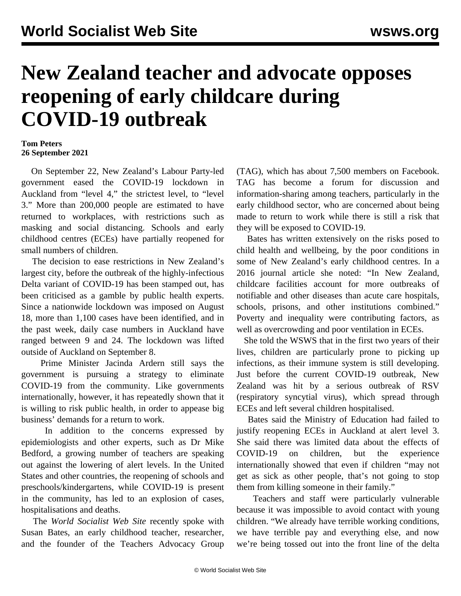## **New Zealand teacher and advocate opposes reopening of early childcare during COVID-19 outbreak**

## **Tom Peters 26 September 2021**

 On September 22, New Zealand's Labour Party-led government [eased](/en/articles/2021/09/23/auck-s23.html) the COVID-19 lockdown in Auckland from "level 4," the strictest level, to "level 3." More than 200,000 people are estimated to have returned to workplaces, with restrictions such as masking and social distancing. Schools and early childhood centres (ECEs) have partially reopened for small numbers of children.

 The decision to ease restrictions in New Zealand's largest city, before the outbreak of the highly-infectious Delta variant of COVID-19 has been stamped out, has been criticised as a gamble by public health experts. Since a nationwide lockdown was imposed on August 18, more than 1,100 cases have been identified, and in the past week, daily case numbers in Auckland have ranged between 9 and 24. The lockdown was lifted outside of Auckland on September 8.

 Prime Minister Jacinda Ardern still says the government is pursuing a strategy to eliminate COVID-19 from the community. Like governments internationally, however, it has repeatedly shown that it is willing to risk public health, in order to appease big business' demands for a return to work.

 In addition to the concerns expressed by epidemiologists and other experts, such as [Dr Mike](/en/articles/2021/09/17/ecnz-s17.html) [Bedford,](/en/articles/2021/09/17/ecnz-s17.html) a growing number of teachers are speaking out against the lowering of alert levels. In the United States and other countries, the reopening of schools and preschools/kindergartens, while COVID-19 is present in the community, has led to an explosion of cases, hospitalisations and deaths.

 The *World Socialist Web Site* recently spoke with Susan Bates, an early childhood teacher, researcher, and the founder of the Teachers Advocacy Group

(TAG), which has about 7,500 members on Facebook. TAG has become a forum for discussion and information-sharing among teachers, particularly in the early childhood sector, who are concerned about being made to return to work while there is still a risk that they will be exposed to COVID-19.

 Bates has written extensively on the risks posed to child health and wellbeing, by the poor conditions in some of New Zealand's early childhood centres. In a 2016 journal article she noted: "In New Zealand, childcare facilities account for more outbreaks of notifiable and other diseases than acute care hospitals, schools, prisons, and other institutions combined." Poverty and inequality were contributing factors, as well as overcrowding and poor ventilation in ECEs.

 She told the WSWS that in the first two years of their lives, children are particularly prone to picking up infections, as their immune system is still developing. Just before the current COVID-19 outbreak, New Zealand was hit by a serious outbreak of RSV (respiratory syncytial virus), which spread through ECEs and left several children hospitalised.

 Bates said the Ministry of Education had failed to justify reopening ECEs in Auckland at alert level 3. She said there was limited data about the effects of COVID-19 on children, but the experience internationally showed that even if children "may not get as sick as other people, that's not going to stop them from killing someone in their family."

 Teachers and staff were particularly vulnerable because it was impossible to avoid contact with young children. "We already have terrible working conditions, we have terrible pay and everything else, and now we're being tossed out into the front line of the delta